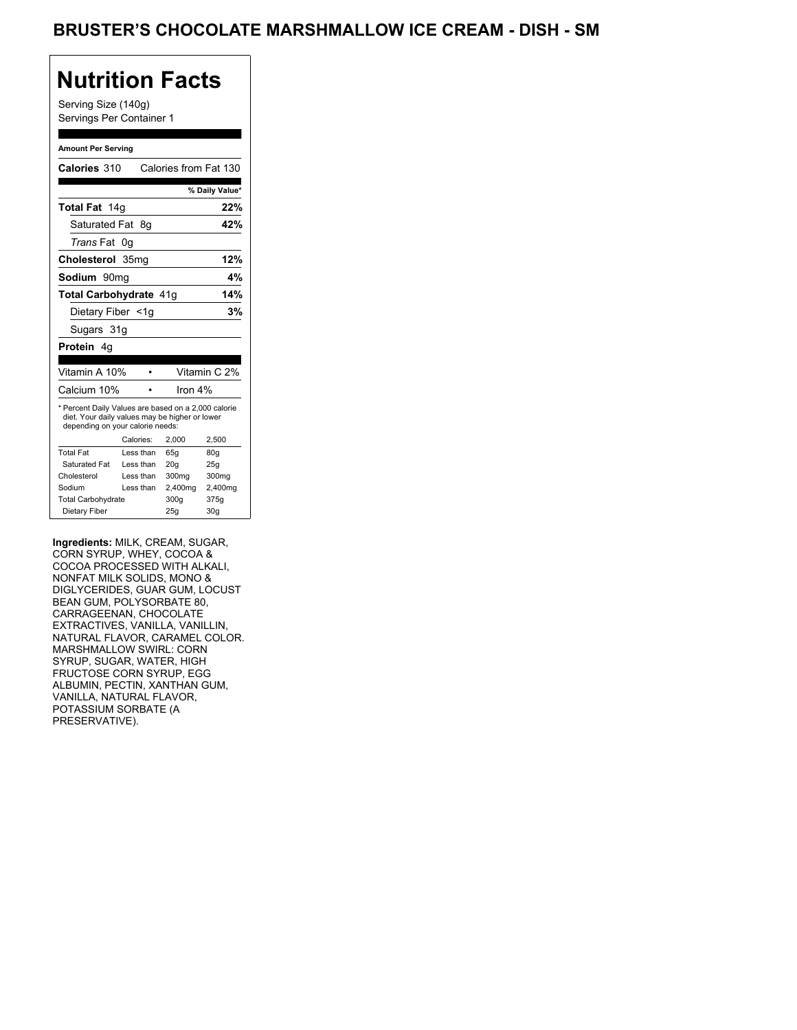Serving Size (140g) Servings Per Container 1

#### **Amount Per Serving**

| Calories 310                                                                                                                              |                  | Calories from Fat 130 |                |
|-------------------------------------------------------------------------------------------------------------------------------------------|------------------|-----------------------|----------------|
|                                                                                                                                           |                  |                       |                |
|                                                                                                                                           |                  |                       | % Daily Value* |
| Total Fat 14g                                                                                                                             |                  |                       | 22%            |
| Saturated Fat                                                                                                                             | - 8g             |                       | 42%            |
| <i>Trans</i> Fat                                                                                                                          | 0g               |                       |                |
| Cholesterol                                                                                                                               | 35 <sub>mq</sub> |                       | 12%            |
| Sodium 90mq                                                                                                                               |                  |                       | 4%             |
| Total Carbohydrate 41g                                                                                                                    |                  |                       | 14%            |
| Dietary Fiber <1g                                                                                                                         |                  |                       | 3%             |
| Sugars 31g                                                                                                                                |                  |                       |                |
| <b>Protein</b> 4a                                                                                                                         |                  |                       |                |
|                                                                                                                                           |                  |                       |                |
| Vitamin A 10%                                                                                                                             |                  |                       | Vitamin C 2%   |
| Calcium 10%                                                                                                                               |                  |                       |                |
|                                                                                                                                           |                  | Iron $4%$             |                |
| * Percent Daily Values are based on a 2,000 calorie<br>diet. Your daily values may be higher or lower<br>depending on your calorie needs: |                  |                       |                |
|                                                                                                                                           | Calories:        | 2,000                 | 2.500          |
| <b>Total Fat</b>                                                                                                                          | Less than        | 65q                   | 80q            |
| Saturated Fat                                                                                                                             | Less than        | 20 <sub>g</sub>       | 25q            |
| Cholesterol                                                                                                                               | Less than        | 300mg                 | 300mg          |
| Sodium                                                                                                                                    | Less than        | 2,400mg               | 2,400mg        |
| <b>Total Carbohydrate</b>                                                                                                                 |                  | 300g                  | 375g           |

**Ingredients:** MILK, CREAM, SUGAR, CORN SYRUP, WHEY, COCOA & COCOA PROCESSED WITH ALKALI, NONFAT MILK SOLIDS, MONO & DIGLYCERIDES, GUAR GUM, LOCUST BEAN GUM, POLYSORBATE 80, CARRAGEENAN, CHOCOLATE EXTRACTIVES, VANILLA, VANILLIN, NATURAL FLAVOR, CARAMEL COLOR. MARSHMALLOW SWIRL: CORN SYRUP, SUGAR, WATER, HIGH FRUCTOSE CORN SYRUP, EGG ALBUMIN, PECTIN, XANTHAN GUM, VANILLA, NATURAL FLAVOR, POTASSIUM SORBATE (A PRESERVATIVE).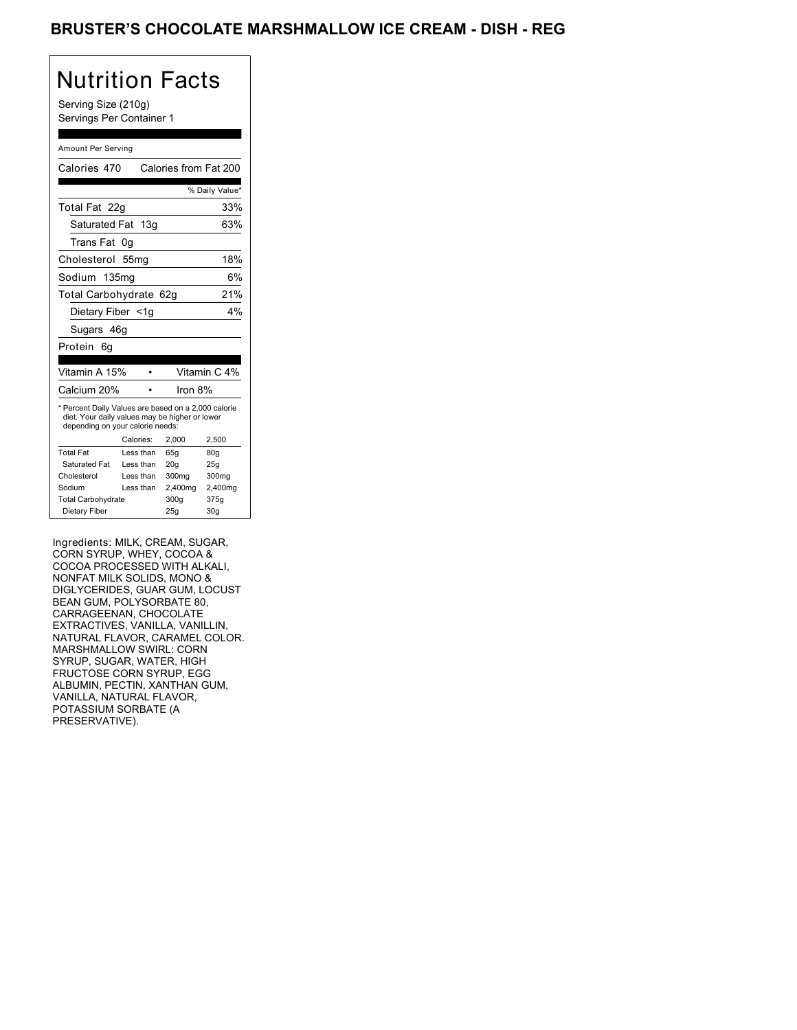Serving Size (210g) Servings Per Container 1

### Amount Per Serving

| Calories 470                                                                                                                              |                  | Calories from Fat 200 |                |
|-------------------------------------------------------------------------------------------------------------------------------------------|------------------|-----------------------|----------------|
|                                                                                                                                           |                  |                       | % Daily Value* |
| Total Fat 22g                                                                                                                             |                  |                       | 33%            |
| Saturated Fat 13g                                                                                                                         |                  |                       | 63%            |
| Trans Fat                                                                                                                                 | 0g               |                       |                |
| Cholesterol                                                                                                                               | 55 <sub>mq</sub> |                       | 18%            |
| Sodium 135mg                                                                                                                              |                  |                       | 6%             |
| Total Carbohydrate 62g                                                                                                                    |                  |                       | 21%            |
| Dietary Fiber <1g                                                                                                                         |                  |                       | 4%             |
| Sugars 46g                                                                                                                                |                  |                       |                |
| Protein<br>6а                                                                                                                             |                  |                       |                |
|                                                                                                                                           |                  |                       |                |
| Vitamin A 15%                                                                                                                             |                  |                       | Vitamin C 4%   |
| Calcium 20%                                                                                                                               |                  | Iron $8%$             |                |
| * Percent Daily Values are based on a 2,000 calorie<br>diet. Your daily values may be higher or lower<br>depending on your calorie needs: |                  |                       |                |
|                                                                                                                                           | Calories:        | 2,000                 | 2.500          |
| <b>Total Fat</b>                                                                                                                          | Less than        | 65q                   | 80q            |
| Saturated Fat                                                                                                                             | Less than        | 20q                   | 25q            |
| Cholesterol                                                                                                                               | Less than        | 300mg                 | 300mg          |
| Sodium                                                                                                                                    | Less than        | 2,400mg               | 2,400mg        |
| <b>Total Carbohydrate</b>                                                                                                                 |                  | 300g                  | 375g           |
|                                                                                                                                           |                  |                       |                |

Ingredients: MILK, CREAM, SUGAR, CORN SYRUP, WHEY, COCOA & COCOA PROCESSED WITH ALKALI, NONFAT MILK SOLIDS, MONO & DIGLYCERIDES, GUAR GUM, LOCUST BEAN GUM, POLYSORBATE 80, CARRAGEENAN, CHOCOLATE EXTRACTIVES, VANILLA, VANILLIN, NATURAL FLAVOR, CARAMEL COLOR. MARSHMALLOW SWIRL: CORN SYRUP, SUGAR, WATER, HIGH FRUCTOSE CORN SYRUP, EGG ALBUMIN, PECTIN, XANTHAN GUM, VANILLA, NATURAL FLAVOR, POTASSIUM SORBATE (A PRESERVATIVE).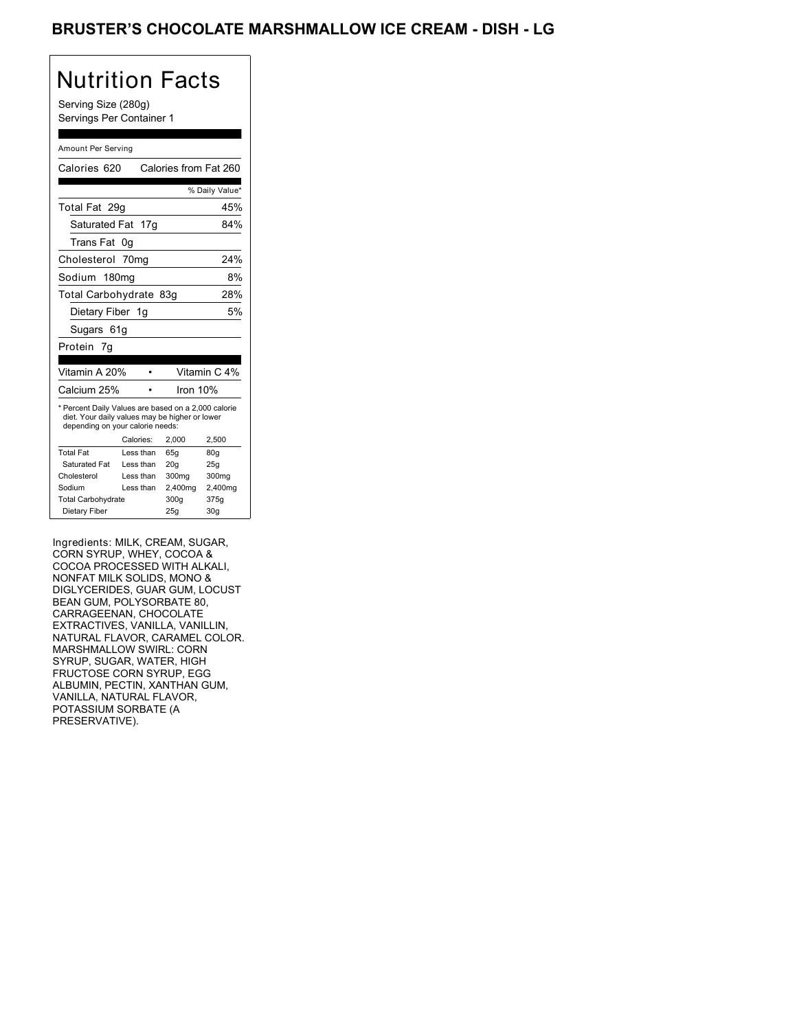Serving Size (280g) Servings Per Container 1

#### Amount Per Serving

| Calories 620                                                                                                                              |           | Calories from Fat 260 |                |
|-------------------------------------------------------------------------------------------------------------------------------------------|-----------|-----------------------|----------------|
|                                                                                                                                           |           |                       | % Daily Value* |
| Total Fat 29q                                                                                                                             |           |                       | 45%            |
| Saturated Fat 17g                                                                                                                         |           |                       | 84%            |
| Trans Fat                                                                                                                                 | 0g        |                       |                |
| Cholesterol 70mg                                                                                                                          |           |                       | 24%            |
| Sodium 180mg                                                                                                                              |           |                       | 8%             |
| Total Carbohydrate 83g                                                                                                                    |           |                       | 28%            |
| Dietary Fiber 1g                                                                                                                          |           |                       | 5%             |
| Sugars 61g                                                                                                                                |           |                       |                |
| Protein 7g                                                                                                                                |           |                       |                |
|                                                                                                                                           |           |                       |                |
|                                                                                                                                           |           |                       |                |
| Vitamin A 20%                                                                                                                             |           |                       | Vitamin C 4%   |
| Calcium 25%                                                                                                                               |           | Iron 10%              |                |
| * Percent Daily Values are based on a 2,000 calorie<br>diet. Your daily values may be higher or lower<br>depending on your calorie needs: |           |                       |                |
|                                                                                                                                           | Calories: | 2,000                 | 2,500          |
| <b>Total Fat</b>                                                                                                                          | Less than | 65q                   | 80q            |
| Saturated Fat                                                                                                                             | Less than | 20 <sub>g</sub>       | 25g            |
| Cholesterol                                                                                                                               | Less than | 300 <sub>mq</sub>     | 300mg          |
| Sodium                                                                                                                                    | Less than | 2,400mg               | 2,400mg        |
| <b>Total Carbohydrate</b>                                                                                                                 |           | 300q                  | 375g           |

Ingredients: MILK, CREAM, SUGAR, CORN SYRUP, WHEY, COCOA & COCOA PROCESSED WITH ALKALI, NONFAT MILK SOLIDS, MONO & DIGLYCERIDES, GUAR GUM, LOCUST BEAN GUM, POLYSORBATE 80, CARRAGEENAN, CHOCOLATE EXTRACTIVES, VANILLA, VANILLIN, NATURAL FLAVOR, CARAMEL COLOR. MARSHMALLOW SWIRL: CORN SYRUP, SUGAR, WATER, HIGH FRUCTOSE CORN SYRUP, EGG ALBUMIN, PECTIN, XANTHAN GUM, VANILLA, NATURAL FLAVOR, POTASSIUM SORBATE (A PRESERVATIVE).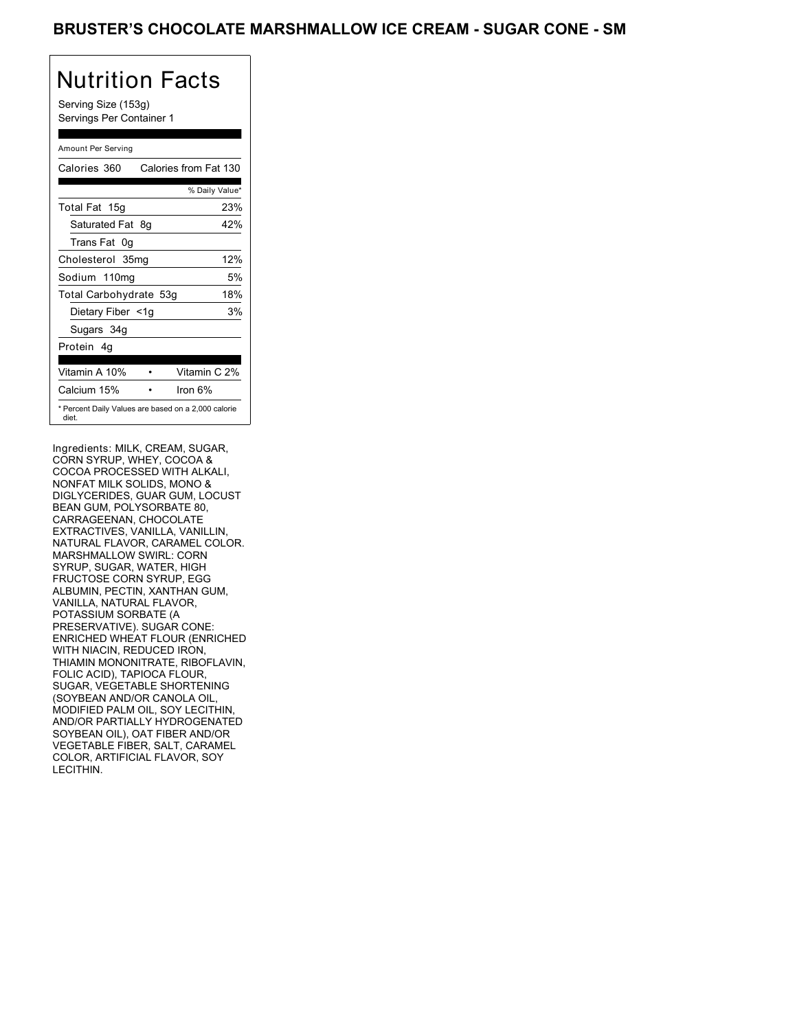Serving Size (153g) Servings Per Container 1

### Amount Per Serving

| Calories 360           | Calories from Fat 130                               |
|------------------------|-----------------------------------------------------|
|                        | % Daily Value*                                      |
| Total Fat 15g          | 23%                                                 |
| Saturated Fat 8q       | 42%                                                 |
| Trans Fat 0q           |                                                     |
| Cholesterol 35mg       | 12%                                                 |
| Sodium 110mg           | 5%                                                  |
| Total Carbohydrate 53g | 18%                                                 |
| Dietary Fiber <1g      | 3%                                                  |
| Sugars 34g             |                                                     |
| Protein 4q             |                                                     |
|                        | Vitamin C 2%                                        |
| Vitamin A 10%          |                                                     |
| Calcium 15%            | Iron 6%                                             |
| diet.                  | * Percent Daily Values are based on a 2,000 calorie |

Ingredients: MILK, CREAM, SUGAR, CORN SYRUP, WHEY, COCOA & COCOA PROCESSED WITH ALKALI, NONFAT MILK SOLIDS, MONO & DIGLYCERIDES, GUAR GUM, LOCUST BEAN GUM, POLYSORBATE 80, CARRAGEENAN, CHOCOLATE EXTRACTIVES, VANILLA, VANILLIN, NATURAL FLAVOR, CARAMEL COLOR. MARSHMALLOW SWIRL: CORN SYRUP, SUGAR, WATER, HIGH FRUCTOSE CORN SYRUP, EGG ALBUMIN, PECTIN, XANTHAN GUM, VANILLA, NATURAL FLAVOR, POTASSIUM SORBATE (A PRESERVATIVE). SUGAR CONE: ENRICHED WHEAT FLOUR (ENRICHED WITH NIACIN, REDUCED IRON, THIAMIN MONONITRATE, RIBOFLAVIN, FOLIC ACID), TAPIOCA FLOUR, SUGAR, VEGETABLE SHORTENING (SOYBEAN AND/OR CANOLA OIL, MODIFIED PALM OIL, SOY LECITHIN, AND/OR PARTIALLY HYDROGENATED SOYBEAN OIL), OAT FIBER AND/OR VEGETABLE FIBER, SALT, CARAMEL COLOR, ARTIFICIAL FLAVOR, SOY LECITHIN.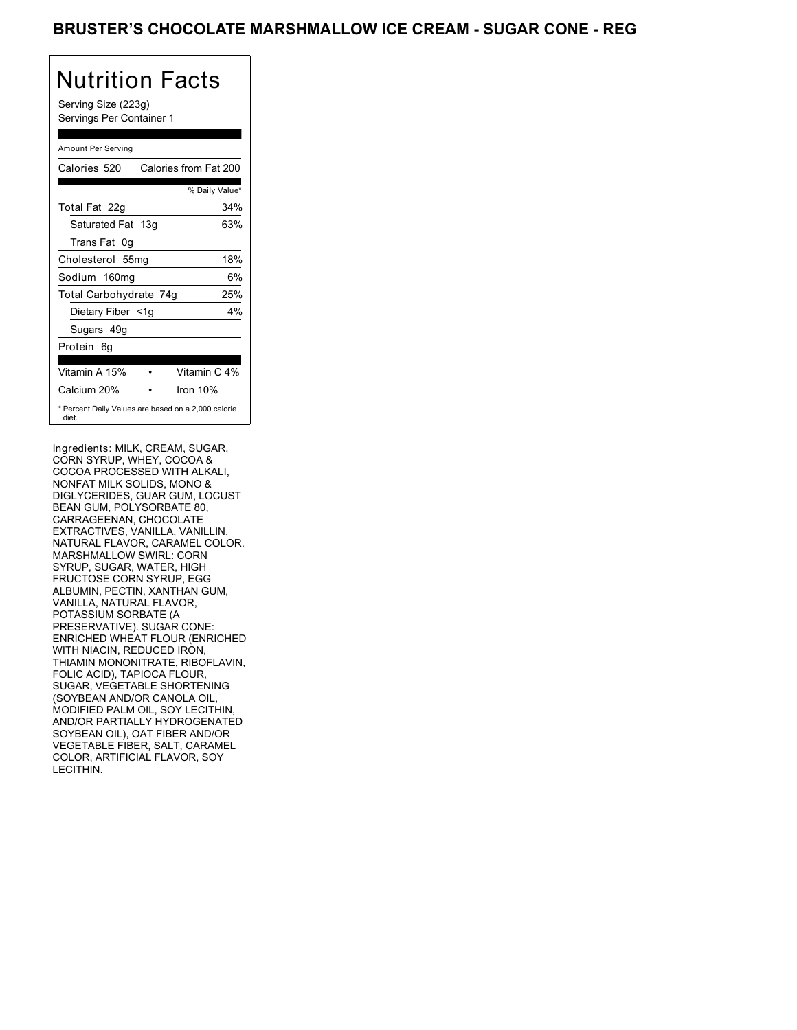Serving Size (223g) Servings Per Container 1

### Amount Per Serving

| Calories 520           | Calories from Fat 200                               |
|------------------------|-----------------------------------------------------|
|                        | % Daily Value*                                      |
| Total Fat 22g          | 34%                                                 |
| Saturated Fat 13g      | 63%                                                 |
| Trans Fat 0q           |                                                     |
| Cholesterol 55mg       | 18%                                                 |
| Sodium 160mg           | 6%                                                  |
| Total Carbohydrate 74g | 25%                                                 |
| Dietary Fiber <1g      | $4\%$                                               |
| Sugars 49g             |                                                     |
| Protein 6q             |                                                     |
| Vitamin A 15%          | Vitamin C 4%                                        |
| Calcium 20%            | Iron $10%$                                          |
| diet.                  | * Percent Daily Values are based on a 2,000 calorie |

Ingredients: MILK, CREAM, SUGAR, CORN SYRUP, WHEY, COCOA & COCOA PROCESSED WITH ALKALI, NONFAT MILK SOLIDS, MONO & DIGLYCERIDES, GUAR GUM, LOCUST BEAN GUM, POLYSORBATE 80, CARRAGEENAN, CHOCOLATE EXTRACTIVES, VANILLA, VANILLIN, NATURAL FLAVOR, CARAMEL COLOR. MARSHMALLOW SWIRL: CORN SYRUP, SUGAR, WATER, HIGH FRUCTOSE CORN SYRUP, EGG ALBUMIN, PECTIN, XANTHAN GUM, VANILLA, NATURAL FLAVOR, POTASSIUM SORBATE (A PRESERVATIVE). SUGAR CONE: ENRICHED WHEAT FLOUR (ENRICHED WITH NIACIN, REDUCED IRON, THIAMIN MONONITRATE, RIBOFLAVIN, FOLIC ACID), TAPIOCA FLOUR, SUGAR, VEGETABLE SHORTENING (SOYBEAN AND/OR CANOLA OIL, MODIFIED PALM OIL, SOY LECITHIN, AND/OR PARTIALLY HYDROGENATED SOYBEAN OIL), OAT FIBER AND/OR VEGETABLE FIBER, SALT, CARAMEL COLOR, ARTIFICIAL FLAVOR, SOY LECITHIN.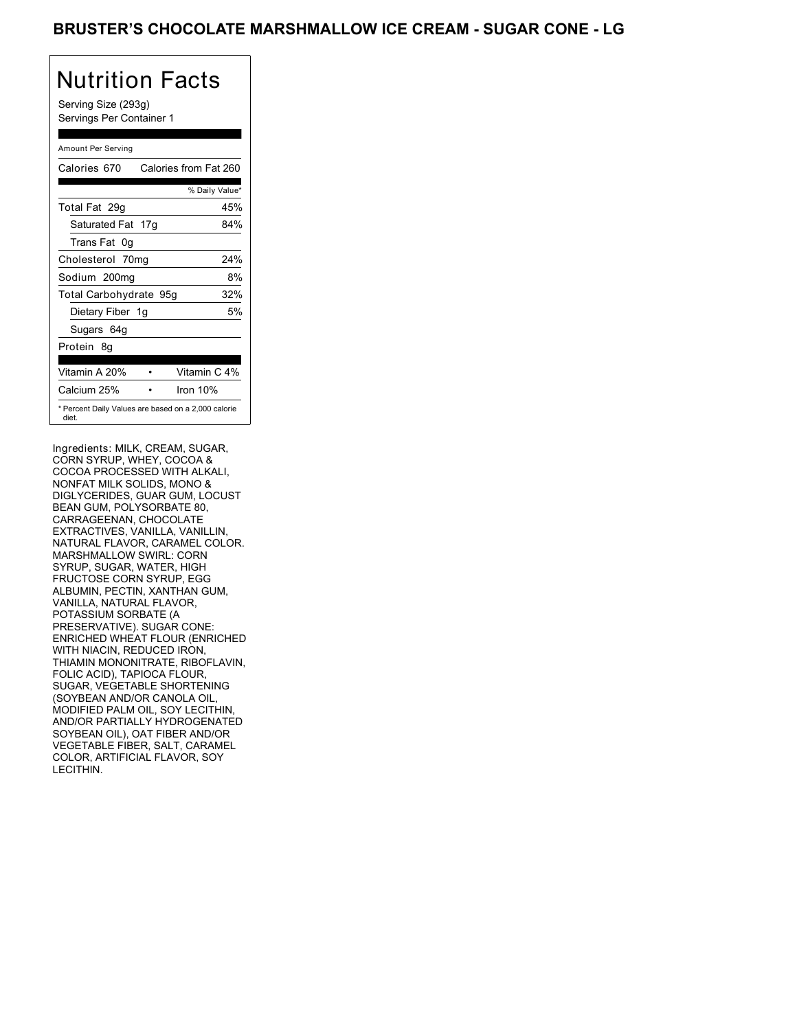Serving Size (293g) Servings Per Container 1

### Amount Per Serving

| Calories 670                                                 |  | Calories from Fat 260 |
|--------------------------------------------------------------|--|-----------------------|
|                                                              |  | % Daily Value*        |
| Total Fat 29q                                                |  | 45%                   |
| Saturated Fat 17g                                            |  | 84%                   |
| Trans Fat 0q                                                 |  |                       |
| Cholesterol 70mg                                             |  | 24%                   |
| Sodium 200mg                                                 |  | 8%                    |
| Total Carbohydrate 95g                                       |  | 32%                   |
| Dietary Fiber 1g                                             |  | 5%                    |
| Sugars 64g                                                   |  |                       |
| Protein 8q                                                   |  |                       |
| Vitamin A 20%                                                |  | Vitamin C 4%          |
| Calcium 25%                                                  |  | Iron $10%$            |
| * Percent Daily Values are based on a 2,000 calorie<br>diet. |  |                       |

Ingredients: MILK, CREAM, SUGAR, CORN SYRUP, WHEY, COCOA & COCOA PROCESSED WITH ALKALI, NONFAT MILK SOLIDS, MONO & DIGLYCERIDES, GUAR GUM, LOCUST BEAN GUM, POLYSORBATE 80, CARRAGEENAN, CHOCOLATE EXTRACTIVES, VANILLA, VANILLIN, NATURAL FLAVOR, CARAMEL COLOR. MARSHMALLOW SWIRL: CORN SYRUP, SUGAR, WATER, HIGH FRUCTOSE CORN SYRUP, EGG ALBUMIN, PECTIN, XANTHAN GUM, VANILLA, NATURAL FLAVOR, POTASSIUM SORBATE (A PRESERVATIVE). SUGAR CONE: ENRICHED WHEAT FLOUR (ENRICHED WITH NIACIN, REDUCED IRON, THIAMIN MONONITRATE, RIBOFLAVIN, FOLIC ACID), TAPIOCA FLOUR, SUGAR, VEGETABLE SHORTENING (SOYBEAN AND/OR CANOLA OIL, MODIFIED PALM OIL, SOY LECITHIN, AND/OR PARTIALLY HYDROGENATED SOYBEAN OIL), OAT FIBER AND/OR VEGETABLE FIBER, SALT, CARAMEL COLOR, ARTIFICIAL FLAVOR, SOY LECITHIN.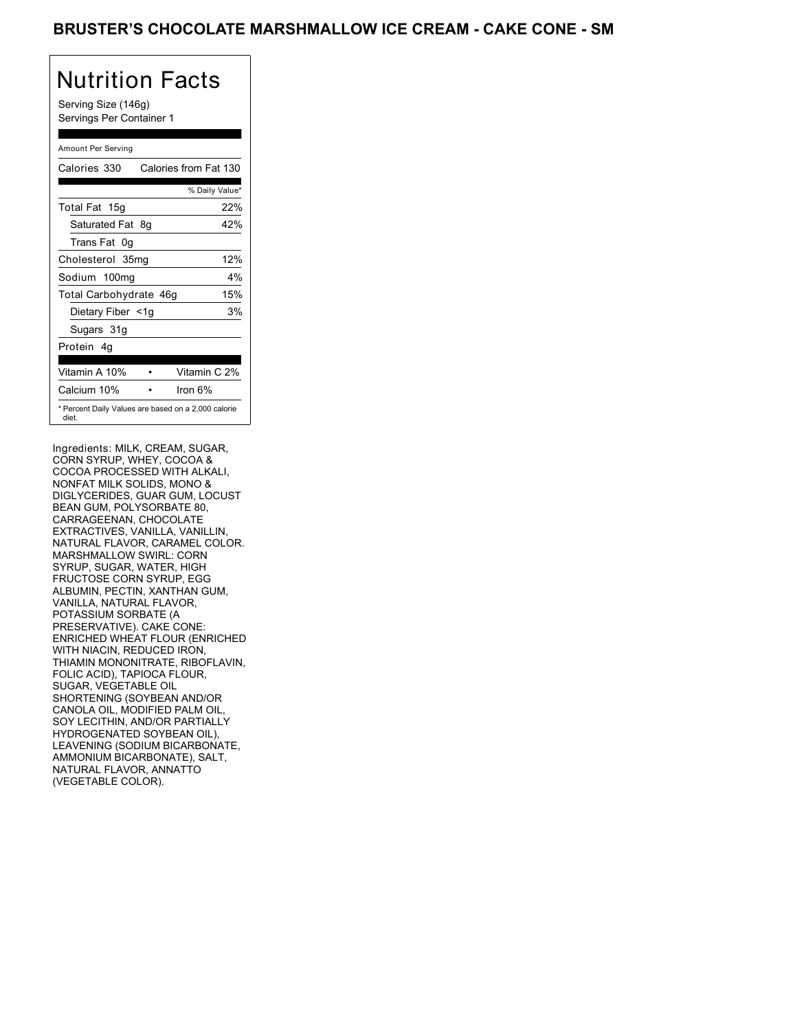Serving Size (146g) Servings Per Container 1

### Amount Per Serving

| Calories 330           | Calories from Fat 130                               |
|------------------------|-----------------------------------------------------|
|                        | % Daily Value*                                      |
| Total Fat 15g          | 22%                                                 |
| Saturated Fat 8g       | 42%                                                 |
| Trans Fat 0q           |                                                     |
| Cholesterol 35mg       | 12%                                                 |
| Sodium 100mg           | $4\%$                                               |
| Total Carbohydrate 46g | 15%                                                 |
| Dietary Fiber <1g      | 3%                                                  |
| Sugars 31g             |                                                     |
| Protein 4q             |                                                     |
| Vitamin A 10%          | Vitamin C 2%                                        |
| Calcium 10%            | Iron $6\%$                                          |
| diet.                  | * Percent Daily Values are based on a 2,000 calorie |

Ingredients: MILK, CREAM, SUGAR, CORN SYRUP, WHEY, COCOA & COCOA PROCESSED WITH ALKALI, NONFAT MILK SOLIDS, MONO & DIGLYCERIDES, GUAR GUM, LOCUST BEAN GUM, POLYSORBATE 80, CARRAGEENAN, CHOCOLATE EXTRACTIVES, VANILLA, VANILLIN, NATURAL FLAVOR, CARAMEL COLOR. MARSHMALLOW SWIRL: CORN SYRUP, SUGAR, WATER, HIGH FRUCTOSE CORN SYRUP, EGG ALBUMIN, PECTIN, XANTHAN GUM, VANILLA, NATURAL FLAVOR, POTASSIUM SORBATE (A PRESERVATIVE). CAKE CONE: ENRICHED WHEAT FLOUR (ENRICHED WITH NIACIN, REDUCED IRON, THIAMIN MONONITRATE, RIBOFLAVIN, FOLIC ACID), TAPIOCA FLOUR, SUGAR, VEGETABLE OIL SHORTENING (SOYBEAN AND/OR CANOLA OIL, MODIFIED PALM OIL, SOY LECITHIN, AND/OR PARTIALLY HYDROGENATED SOYBEAN OIL), LEAVENING (SODIUM BICARBONATE, AMMONIUM BICARBONATE), SALT, NATURAL FLAVOR, ANNATTO (VEGETABLE COLOR).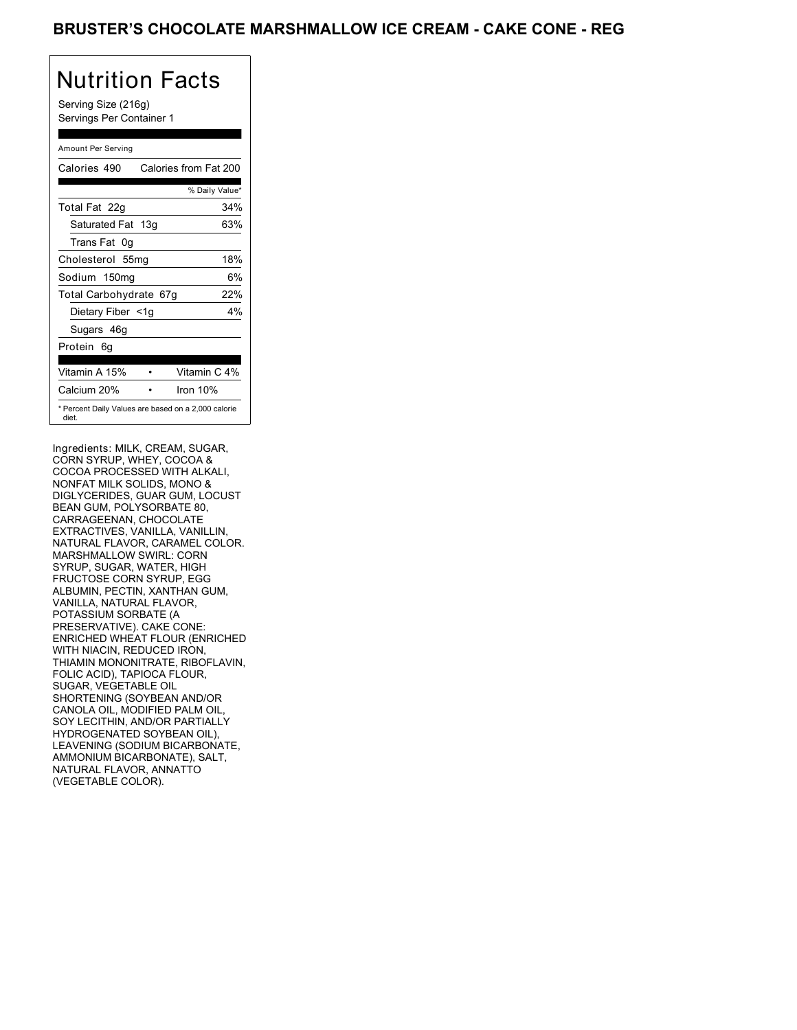Serving Size (216g) Servings Per Container 1

### Amount Per Serving

| Calories 490           | Calories from Fat 200                               |
|------------------------|-----------------------------------------------------|
|                        | % Daily Value*                                      |
| Total Fat 22g          | 34%                                                 |
| Saturated Fat 13g      | 63%                                                 |
| Trans Fat 0q           |                                                     |
| Cholesterol 55mg       | 18%                                                 |
| Sodium 150mg           | 6%                                                  |
| Total Carbohydrate 67g | 22%                                                 |
| Dietary Fiber <1g      | 4%                                                  |
| Sugars 46g             |                                                     |
| Protein 6q             |                                                     |
|                        |                                                     |
| Vitamin A 15%          | Vitamin C 4%                                        |
| Calcium 20%            | Iron $10%$                                          |
| diet.                  | * Percent Daily Values are based on a 2,000 calorie |

Ingredients: MILK, CREAM, SUGAR, CORN SYRUP, WHEY, COCOA & COCOA PROCESSED WITH ALKALI, NONFAT MILK SOLIDS, MONO & DIGLYCERIDES, GUAR GUM, LOCUST BEAN GUM, POLYSORBATE 80, CARRAGEENAN, CHOCOLATE EXTRACTIVES, VANILLA, VANILLIN, NATURAL FLAVOR, CARAMEL COLOR. MARSHMALLOW SWIRL: CORN SYRUP, SUGAR, WATER, HIGH FRUCTOSE CORN SYRUP, EGG ALBUMIN, PECTIN, XANTHAN GUM, VANILLA, NATURAL FLAVOR, POTASSIUM SORBATE (A PRESERVATIVE). CAKE CONE: ENRICHED WHEAT FLOUR (ENRICHED WITH NIACIN, REDUCED IRON, THIAMIN MONONITRATE, RIBOFLAVIN, FOLIC ACID), TAPIOCA FLOUR, SUGAR, VEGETABLE OIL SHORTENING (SOYBEAN AND/OR CANOLA OIL, MODIFIED PALM OIL, SOY LECITHIN, AND/OR PARTIALLY HYDROGENATED SOYBEAN OIL), LEAVENING (SODIUM BICARBONATE, AMMONIUM BICARBONATE), SALT, NATURAL FLAVOR, ANNATTO (VEGETABLE COLOR).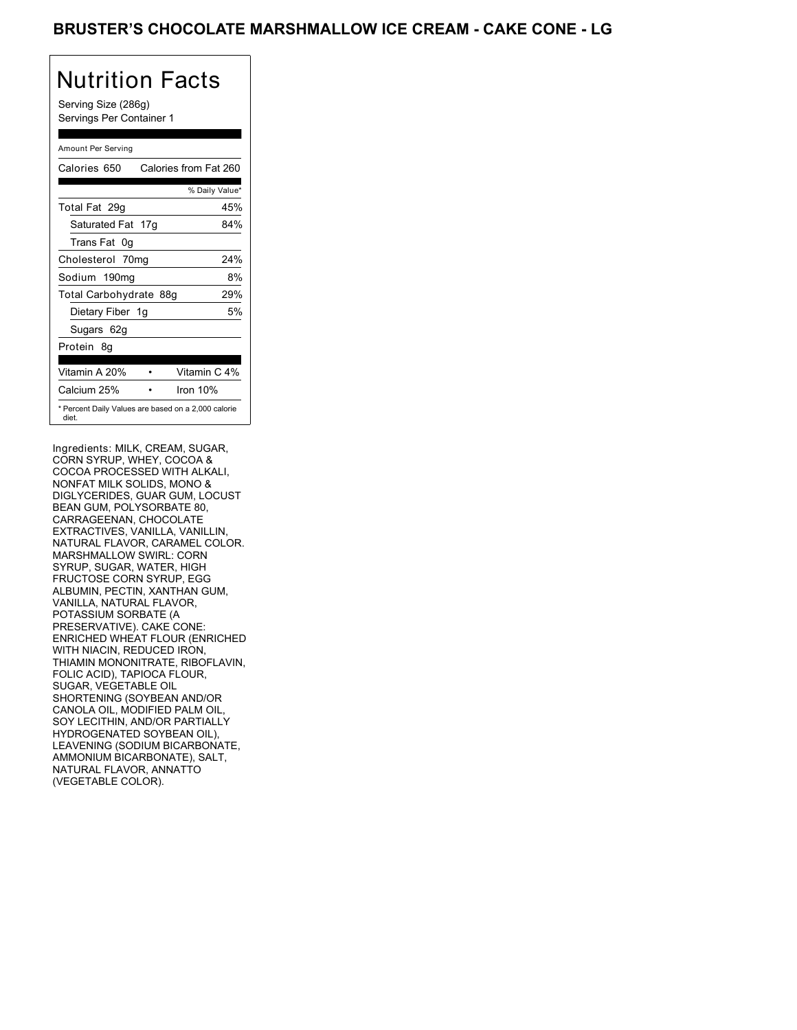Serving Size (286g) Servings Per Container 1

### Amount Per Serving

| Calories 650                                                 | Calories from Fat 260 |
|--------------------------------------------------------------|-----------------------|
|                                                              | % Daily Value*        |
| Total Fat 29q                                                | 45%                   |
| Saturated Fat 17g                                            | 84%                   |
| Trans Fat 0q                                                 |                       |
| Cholesterol 70mg                                             | 24%                   |
| Sodium 190mg                                                 | 8%                    |
| Total Carbohydrate 88g                                       | 29%                   |
| Dietary Fiber 1g                                             | 5%                    |
| Sugars 62g                                                   |                       |
| Protein 8q                                                   |                       |
| Vitamin A 20%                                                | Vitamin C 4%          |
| Calcium 25%                                                  | Iron $10%$            |
| * Percent Daily Values are based on a 2,000 calorie<br>diet. |                       |

Ingredients: MILK, CREAM, SUGAR, CORN SYRUP, WHEY, COCOA & COCOA PROCESSED WITH ALKALI, NONFAT MILK SOLIDS, MONO & DIGLYCERIDES, GUAR GUM, LOCUST BEAN GUM, POLYSORBATE 80, CARRAGEENAN, CHOCOLATE EXTRACTIVES, VANILLA, VANILLIN, NATURAL FLAVOR, CARAMEL COLOR. MARSHMALLOW SWIRL: CORN SYRUP, SUGAR, WATER, HIGH FRUCTOSE CORN SYRUP, EGG ALBUMIN, PECTIN, XANTHAN GUM, VANILLA, NATURAL FLAVOR, POTASSIUM SORBATE (A PRESERVATIVE). CAKE CONE: ENRICHED WHEAT FLOUR (ENRICHED WITH NIACIN, REDUCED IRON, THIAMIN MONONITRATE, RIBOFLAVIN, FOLIC ACID), TAPIOCA FLOUR, SUGAR, VEGETABLE OIL SHORTENING (SOYBEAN AND/OR CANOLA OIL, MODIFIED PALM OIL, SOY LECITHIN, AND/OR PARTIALLY HYDROGENATED SOYBEAN OIL), LEAVENING (SODIUM BICARBONATE, AMMONIUM BICARBONATE), SALT, NATURAL FLAVOR, ANNATTO (VEGETABLE COLOR).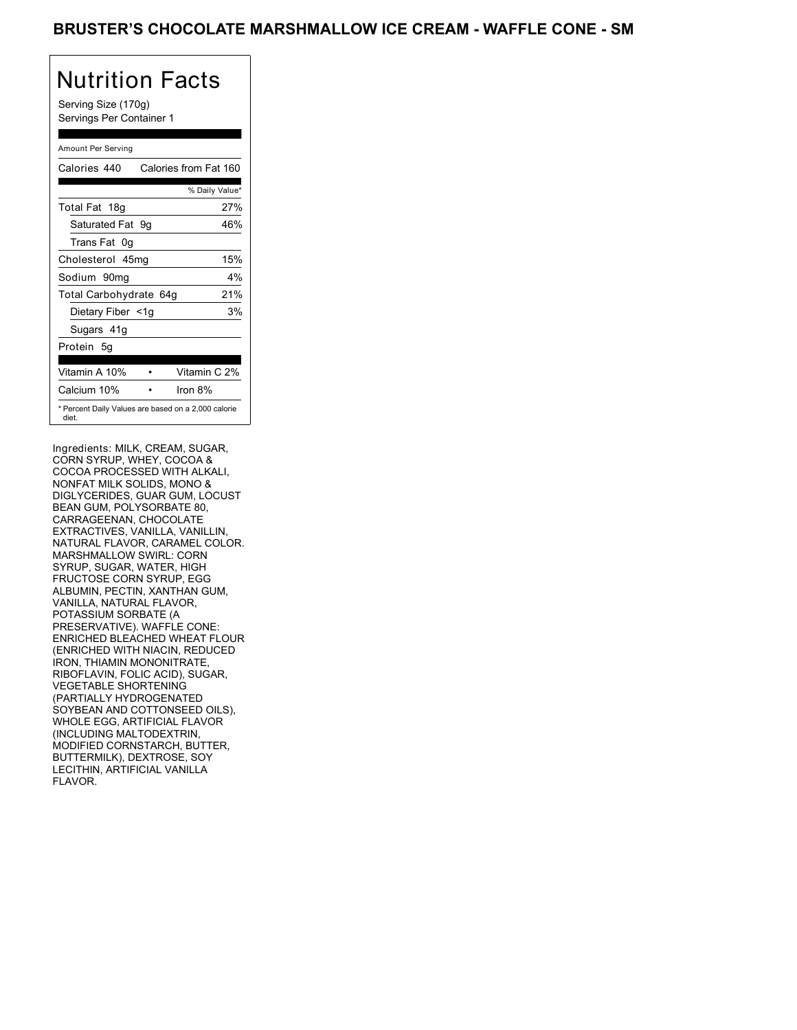Serving Size (170g) Servings Per Container 1

### Amount Per Serving

| Calories 440           | Calories from Fat 160                               |
|------------------------|-----------------------------------------------------|
|                        | % Daily Value*                                      |
| Total Fat 18g          | 27%                                                 |
| Saturated Fat 9q       | 46%                                                 |
| Trans Fat 0q           |                                                     |
| Cholesterol 45mg       | 15%                                                 |
| Sodium 90mq            | $4\%$                                               |
| Total Carbohydrate 64g | 21%                                                 |
| Dietary Fiber <1g      | 3%                                                  |
| Sugars 41g             |                                                     |
| Protein 5q             |                                                     |
| Vitamin A 10%          | Vitamin C 2%                                        |
| Calcium 10%            | Iron $8\%$                                          |
| diet.                  | * Percent Daily Values are based on a 2,000 calorie |

Ingredients: MILK, CREAM, SUGAR, CORN SYRUP, WHEY, COCOA & COCOA PROCESSED WITH ALKALI, NONFAT MILK SOLIDS, MONO & DIGLYCERIDES, GUAR GUM, LOCUST BEAN GUM, POLYSORBATE 80, CARRAGEENAN, CHOCOLATE EXTRACTIVES, VANILLA, VANILLIN, NATURAL FLAVOR, CARAMEL COLOR. MARSHMALLOW SWIRL: CORN SYRUP, SUGAR, WATER, HIGH FRUCTOSE CORN SYRUP, EGG ALBUMIN, PECTIN, XANTHAN GUM, VANILLA, NATURAL FLAVOR, POTASSIUM SORBATE (A PRESERVATIVE). WAFFLE CONE: ENRICHED BLEACHED WHEAT FLOUR (ENRICHED WITH NIACIN, REDUCED IRON, THIAMIN MONONITRATE, RIBOFLAVIN, FOLIC ACID), SUGAR, VEGETABLE SHORTENING (PARTIALLY HYDROGENATED SOYBEAN AND COTTONSEED OILS), WHOLE EGG, ARTIFICIAL FLAVOR (INCLUDING MALTODEXTRIN, MODIFIED CORNSTARCH, BUTTER, BUTTERMILK), DEXTROSE, SOY LECITHIN, ARTIFICIAL VANILLA FLAVOR.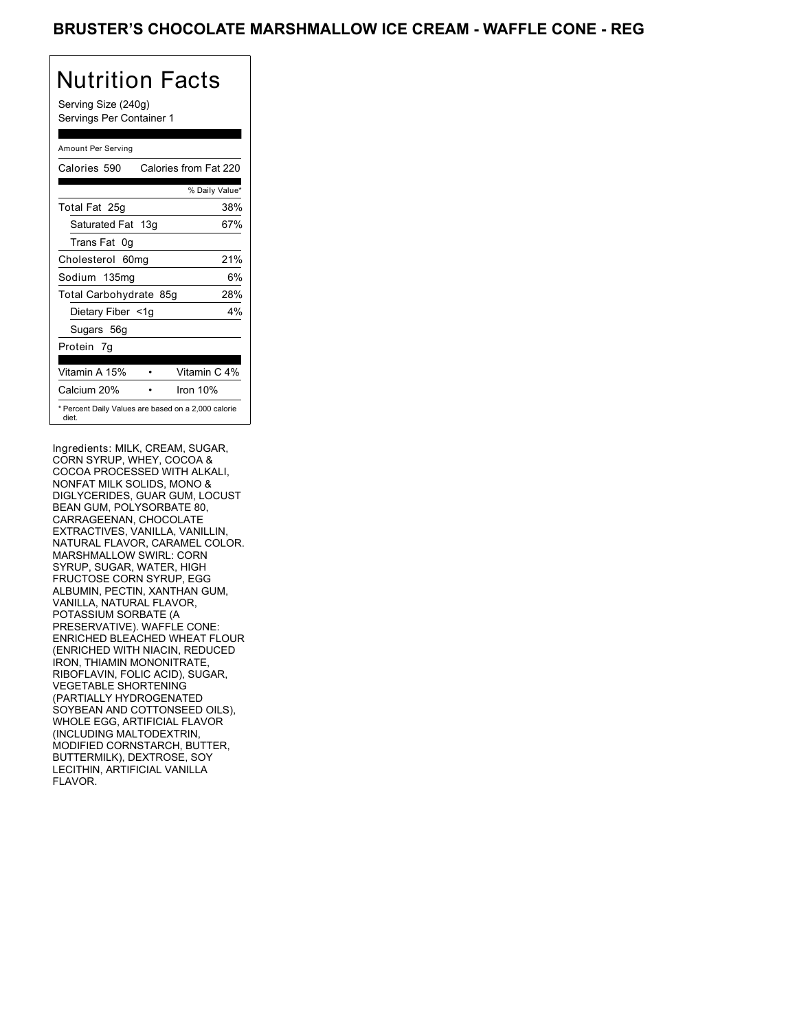Serving Size (240g) Servings Per Container 1

### Amount Per Serving

| Calories 590                                                 | Calories from Fat 220 |
|--------------------------------------------------------------|-----------------------|
|                                                              | % Daily Value*        |
| Total Fat 25g                                                | 38%                   |
| Saturated Fat 13g                                            | 67%                   |
| Trans Fat 0q                                                 |                       |
| Cholesterol 60mg                                             | 21%                   |
| Sodium 135mg                                                 | 6%                    |
| Total Carbohydrate 85g                                       | 28%                   |
| Dietary Fiber <1g                                            | $4\%$                 |
| Sugars 56g                                                   |                       |
| Protein 7q                                                   |                       |
| Vitamin A 15%                                                | Vitamin C 4%          |
| Calcium 20%                                                  | Iron $10%$            |
| * Percent Daily Values are based on a 2,000 calorie<br>diet. |                       |

Ingredients: MILK, CREAM, SUGAR, CORN SYRUP, WHEY, COCOA & COCOA PROCESSED WITH ALKALI, NONFAT MILK SOLIDS, MONO & DIGLYCERIDES, GUAR GUM, LOCUST BEAN GUM, POLYSORBATE 80, CARRAGEENAN, CHOCOLATE EXTRACTIVES, VANILLA, VANILLIN, NATURAL FLAVOR, CARAMEL COLOR. MARSHMALLOW SWIRL: CORN SYRUP, SUGAR, WATER, HIGH FRUCTOSE CORN SYRUP, EGG ALBUMIN, PECTIN, XANTHAN GUM, VANILLA, NATURAL FLAVOR, POTASSIUM SORBATE (A PRESERVATIVE). WAFFLE CONE: ENRICHED BLEACHED WHEAT FLOUR (ENRICHED WITH NIACIN, REDUCED IRON, THIAMIN MONONITRATE, RIBOFLAVIN, FOLIC ACID), SUGAR, VEGETABLE SHORTENING (PARTIALLY HYDROGENATED SOYBEAN AND COTTONSEED OILS), WHOLE EGG, ARTIFICIAL FLAVOR (INCLUDING MALTODEXTRIN, MODIFIED CORNSTARCH, BUTTER, BUTTERMILK), DEXTROSE, SOY LECITHIN, ARTIFICIAL VANILLA FLAVOR.